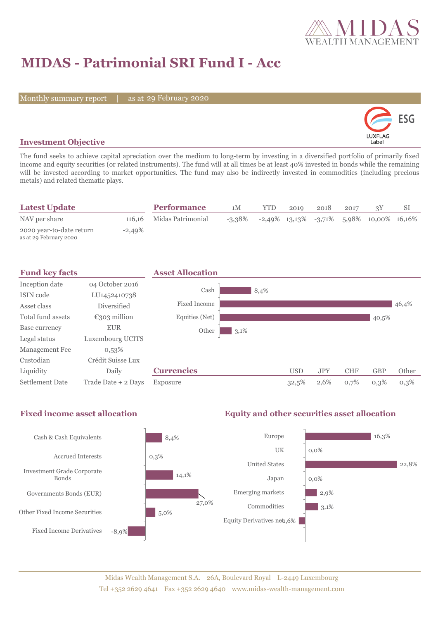

## **MIDAS - Patrimonial SRI Fund I - Acc**

Monthly summary report | as at 29 February 2020



### **Investment Objective**

The fund seeks to achieve capital apreciation over the medium to long-term by investing in a diversified portfolio of primarily fixed income and equity securities (or related instruments). The fund will at all times be at least 40% invested in bonds while the remaining will be invested according to market opportunities. The fund may also be indirectly invested in commodities (including precious metals) and related thematic plays.

| <b>Latest Update</b>                               |           | <b>Performance</b>       | 1M        | <b>YTD</b> | 2019 | 2018 | 2017 |                                                    |  |
|----------------------------------------------------|-----------|--------------------------|-----------|------------|------|------|------|----------------------------------------------------|--|
| NAV per share                                      |           | 116,16 Midas Patrimonial | $-3.38\%$ |            |      |      |      | $-2,49\%$ 13,13\% $-3,71\%$ 5,98\% 10,00\% 16,16\% |  |
| 2020 year-to-date return<br>as at 29 February 2020 | $-2,49\%$ |                          |           |            |      |      |      |                                                    |  |



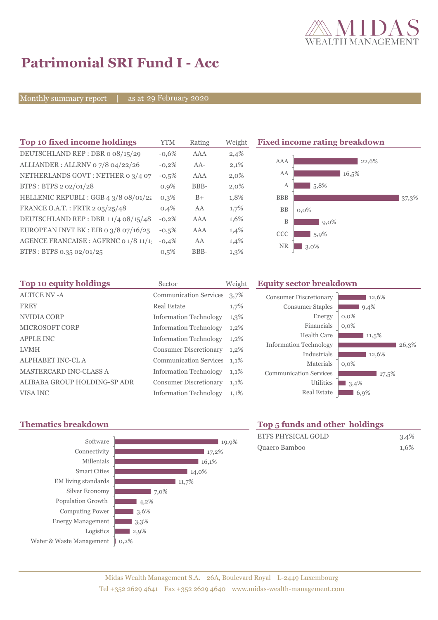

# **Patrimonial SRI Fund I - Acc**

Monthly summary report | as at 29 February 2020

| Top 10 fixed income holdings          | YTM     | Rating | Weight |
|---------------------------------------|---------|--------|--------|
| DEUTSCHLAND REP: DBR o 08/15/29       | $-0.6%$ | AAA    | 2,4%   |
| ALLIANDER: ALLRNV 07/8 04/22/26       | $-0,2%$ | $AA-$  | 2,1%   |
| NETHERLANDS GOVT: NETHER 0 3/4 07     | $-0,5%$ | AAA    | 2,0%   |
| BTPS: BTPS 2 02/01/28                 | 0.9%    | BBB-   | 2,0%   |
| HELLENIC REPUBLI : GGB 4 3/8 08/01/22 | $0.3\%$ | $B+$   | 1,8%   |
| FRANCE O.A.T.: FRTR 2 05/25/48        | 0.4%    | AA     | 1,7%   |
| DEUTSCHLAND REP: DBR 11/4 08/15/48    | $-0,2%$ | AAA    | 1,6%   |
| EUROPEAN INVT BK : EIB o 3/8 07/16/25 | $-0.5%$ | AAA    | 1,4%   |
| AGENCE FRANCAISE : AGFRNC 0 1/8 11/1  | $-0.4%$ | AA     | 1,4%   |
| BTPS: BTPS 0.35 02/01/25              | 0.5%    | BBB-   | 1,3%   |
|                                       |         |        |        |

**Fixed income rating breakdown** 



| Top 10 equity holdings        | Sector                        | Weight  |
|-------------------------------|-------------------------------|---------|
| <b>ALTICE NV - A</b>          | <b>Communication Services</b> | 3,7%    |
| <b>FREY</b>                   | Real Estate                   | 1,7%    |
| <b>NVIDIA CORP</b>            | <b>Information Technology</b> | $1,3\%$ |
| <b>MICROSOFT CORP</b>         | <b>Information Technology</b> | $1,2\%$ |
| <b>APPLE INC</b>              | <b>Information Technology</b> | 1,2%    |
| <b>LVMH</b>                   | <b>Consumer Discretionary</b> | $1,2\%$ |
| <b>ALPHABET INC-CL A</b>      | <b>Communication Services</b> | 1,1%    |
| <b>MASTERCARD INC-CLASS A</b> | <b>Information Technology</b> | 1,1%    |
| ALIBABA GROUP HOLDING-SP ADR  | <b>Consumer Discretionary</b> | 1,1%    |
| VISA INC                      | <b>Information Technology</b> | 1,1%    |



### **Equity sector breakdown**

| <b>Consumer Discretionary</b> | 12,6%   |
|-------------------------------|---------|
| <b>Consumer Staples</b>       | 9,4%    |
| Energy                        | $0.0\%$ |
| Financials                    | 0.0%    |
| Health Care                   | 11,5%   |
| <b>Information Technology</b> | 26,3%   |
| Industrials                   | 12,6%   |
| Materials                     | $0.0\%$ |
| <b>Communication Services</b> | 17,5%   |
| <b>Utilities</b>              | 3,4%    |
| <b>Real Estate</b>            | 6,9%    |
|                               |         |

### **Thematics breakdown Top 5 funds and other holdings**

| ETFS PHYSICAL GOLD | $3.4\%$ |
|--------------------|---------|
| Quaero Bamboo      | 1.6%    |